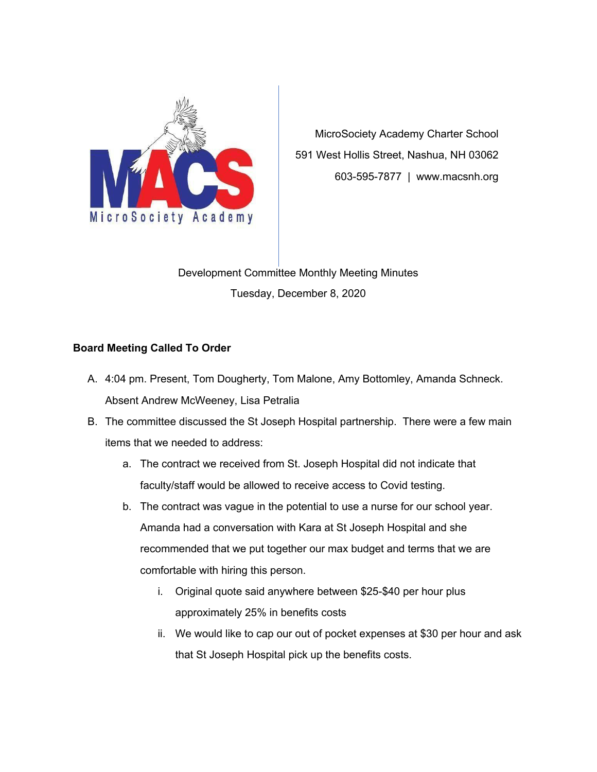

MicroSociety Academy Charter School 591 West Hollis Street, Nashua, NH 03062 603-595-7877 | www.macsnh.org

Development Committee Monthly Meeting Minutes Tuesday, December 8, 2020

## **Board Meeting Called To Order**

- A. 4:04 pm. Present, Tom Dougherty, Tom Malone, Amy Bottomley, Amanda Schneck. Absent Andrew McWeeney, Lisa Petralia
- B. The committee discussed the St Joseph Hospital partnership. There were a few main items that we needed to address:
	- a. The contract we received from St. Joseph Hospital did not indicate that faculty/staff would be allowed to receive access to Covid testing.
	- b. The contract was vague in the potential to use a nurse for our school year. Amanda had a conversation with Kara at St Joseph Hospital and she recommended that we put together our max budget and terms that we are comfortable with hiring this person.
		- i. Original quote said anywhere between \$25-\$40 per hour plus approximately 25% in benefits costs
		- ii. We would like to cap our out of pocket expenses at \$30 per hour and ask that St Joseph Hospital pick up the benefits costs.